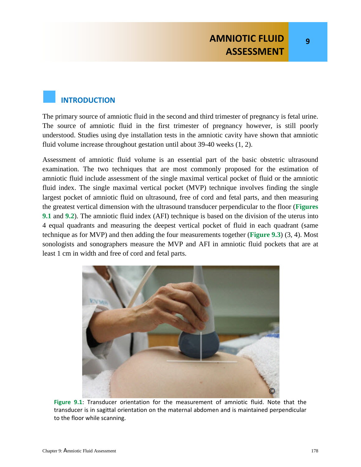**9**

# **INTRODUCTION**

The primary source of amniotic fluid in the second and third trimester of pregnancy is fetal urine. The source of amniotic fluid in the first trimester of pregnancy however, is still poorly understood. Studies using dye installation tests in the amniotic cavity have shown that amniotic fluid volume increase throughout gestation until about 39-40 weeks (1, 2).

Assessment of amniotic fluid volume is an essential part of the basic obstetric ultrasound examination. The two techniques that are most commonly proposed for the estimation of amniotic fluid include assessment of the single maximal vertical pocket of fluid or the amniotic fluid index. The single maximal vertical pocket (MVP) technique involves finding the single largest pocket of amniotic fluid on ultrasound, free of cord and fetal parts, and then measuring the greatest vertical dimension with the ultrasound transducer perpendicular to the floor (**Figures 9.1** and **9.2**). The amniotic fluid index (AFI) technique is based on the division of the uterus into 4 equal quadrants and measuring the deepest vertical pocket of fluid in each quadrant (same technique as for MVP) and then adding the four measurements together (**Figure 9.3**) (3, 4). Most sonologists and sonographers measure the MVP and AFI in amniotic fluid pockets that are at least 1 cm in width and free of cord and fetal parts.



**Figure 9.1**: Transducer orientation for the measurement of amniotic fluid. Note that the transducer is in sagittal orientation on the maternal abdomen and is maintained perpendicular to the floor while scanning.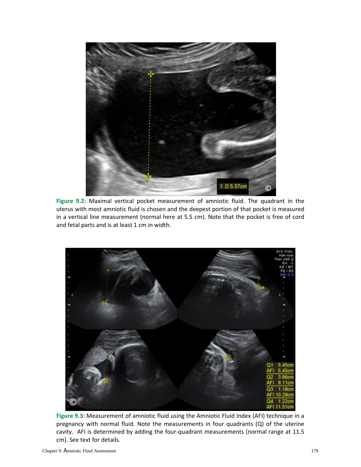

**Figure 9.2**: Maximal vertical pocket measurement of amniotic fluid. The quadrant in the uterus with most amniotic fluid is chosen and the deepest portion of that pocket is measured in a vertical line measurement (normal here at 5.5 cm). Note that the pocket is free of cord and fetal parts and is at least 1 cm in width.



**Figure 9.3**: Measurement of amniotic fluid using the Amniotic Fluid Index (AFI) technique in a pregnancy with normal fluid. Note the measurements in four quadrants (Q) of the uterine cavity. AFI is determined by adding the four-quadrant measurements (normal range at 11.5 cm). See text for details.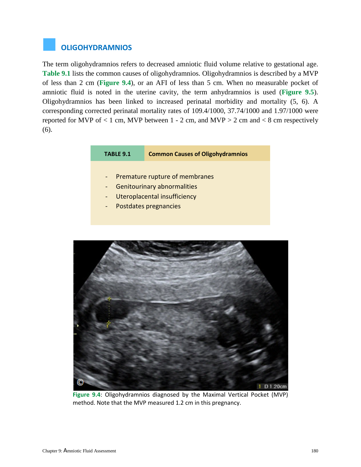# **OLIGOHYDRAMNIOS**

The term oligohydramnios refers to decreased amniotic fluid volume relative to gestational age. **Table 9.1** lists the common causes of oligohydramnios. Oligohydramnios is described by a MVP of less than 2 cm (**Figure 9.4**), or an AFI of less than 5 cm. When no measurable pocket of amniotic fluid is noted in the uterine cavity, the term anhydramnios is used (**Figure 9.5**). Oligohydramnios has been linked to increased perinatal morbidity and mortality (5, 6). A corresponding corrected perinatal mortality rates of 109.4/1000, 37.74/1000 and 1.97/1000 were reported for MVP of  $< 1$  cm, MVP between 1 - 2 cm, and MVP  $> 2$  cm and  $< 8$  cm respectively (6).

#### **TABLE 9.1 Common Causes of Oligohydramnios**

- Premature rupture of membranes
- Genitourinary abnormalities
- Uteroplacental insufficiency
- Postdates pregnancies



**Figure 9.4**: Oligohydramnios diagnosed by the Maximal Vertical Pocket (MVP) method. Note that the MVP measured 1.2 cm in this pregnancy.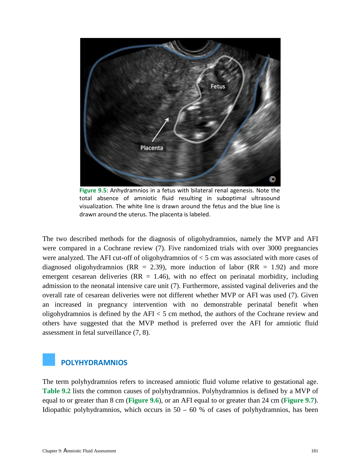

**Figure 9.5**: Anhydramnios in a fetus with bilateral renal agenesis. Note the total absence of amniotic fluid resulting in suboptimal ultrasound visualization. The white line is drawn around the fetus and the blue line is drawn around the uterus. The placenta is labeled.

The two described methods for the diagnosis of oligohydramnios, namely the MVP and AFI were compared in a Cochrane review (7). Five randomized trials with over 3000 pregnancies were analyzed. The AFI cut-off of oligohydramnios of  $\lt$  5 cm was associated with more cases of diagnosed oligohydramnios ( $RR = 2.39$ ), more induction of labor ( $RR = 1.92$ ) and more emergent cesarean deliveries ( $RR = 1.46$ ), with no effect on perinatal morbidity, including admission to the neonatal intensive care unit (7). Furthermore, assisted vaginal deliveries and the overall rate of cesarean deliveries were not different whether MVP or AFI was used (7). Given an increased in pregnancy intervention with no demonstrable perinatal benefit when oligohydramnios is defined by the AFI < 5 cm method, the authors of the Cochrane review and others have suggested that the MVP method is preferred over the AFI for amniotic fluid assessment in fetal surveillance (7, 8).

#### **POLYHYDRAMNIOS**

The term polyhydramnios refers to increased amniotic fluid volume relative to gestational age. **Table 9.2** lists the common causes of polyhydramnios. Polyhydramnios is defined by a MVP of equal to or greater than 8 cm (**Figure 9.6**), or an AFI equal to or greater than 24 cm (**Figure 9.7**). Idiopathic polyhydramnios, which occurs in  $50 - 60$  % of cases of polyhydramnios, has been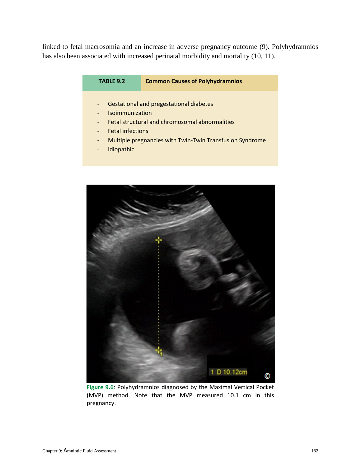linked to fetal macrosomia and an increase in adverse pregnancy outcome (9)*.* Polyhydramnios has also been associated with increased perinatal morbidity and mortality (10, 11).

| TABLE 9.2 | <b>Common Causes of Polyhydramnios</b> |
|-----------|----------------------------------------|
|           |                                        |

- Gestational and pregestational diabetes
- **Isoimmunization**
- Fetal structural and chromosomal abnormalities
- Fetal infections
- Multiple pregnancies with Twin-Twin Transfusion Syndrome
- **Idiopathic**



**Figure 9.6**: Polyhydramnios diagnosed by the Maximal Vertical Pocket (MVP) method. Note that the MVP measured 10.1 cm in this pregnancy.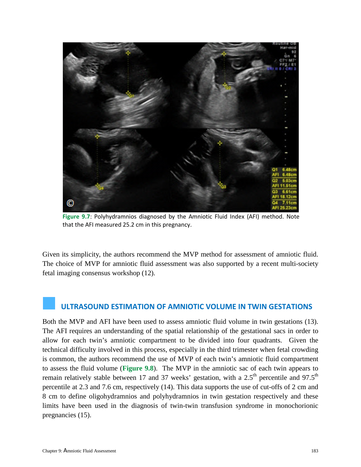

**Figure 9.7**: Polyhydramnios diagnosed by the Amniotic Fluid Index (AFI) method. Note that the AFI measured 25.2 cm in this pregnancy.

Given its simplicity, the authors recommend the MVP method for assessment of amniotic fluid. The choice of MVP for amniotic fluid assessment was also supported by a recent multi-society fetal imaging consensus workshop (12).

## **ULTRASOUND ESTIMATION OF AMNIOTIC VOLUME IN TWIN GESTATIONS**

Both the MVP and AFI have been used to assess amniotic fluid volume in twin gestations (13). The AFI requires an understanding of the spatial relationship of the gestational sacs in order to allow for each twin's amniotic compartment to be divided into four quadrants. Given the technical difficulty involved in this process, especially in the third trimester when fetal crowding is common, the authors recommend the use of MVP of each twin's amniotic fluid compartment to assess the fluid volume (**Figure 9.8**). The MVP in the amniotic sac of each twin appears to remain relatively stable between 17 and 37 weeks' gestation, with a  $2.5<sup>th</sup>$  percentile and 97.5<sup>th</sup> percentile at 2.3 and 7.6 cm, respectively (14). This data supports the use of cut-offs of 2 cm and 8 cm to define oligohydramnios and polyhydramnios in twin gestation respectively and these limits have been used in the diagnosis of twin-twin transfusion syndrome in monochorionic pregnancies (15).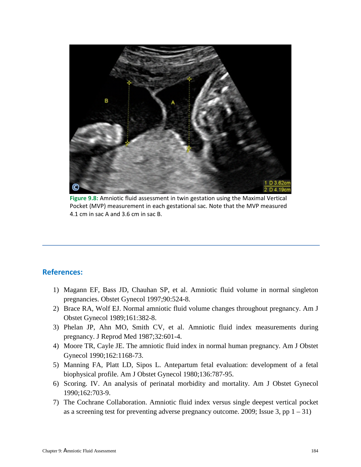

**Figure 9.8:** Amniotic fluid assessment in twin gestation using the Maximal Vertical Pocket (MVP) measurement in each gestational sac. Note that the MVP measured 4.1 cm in sac A and 3.6 cm in sac B.

### **References:**

- 1) Magann EF, Bass JD, Chauhan SP, et al. Amniotic fluid volume in normal singleton pregnancies. Obstet Gynecol 1997;90:524-8.
- 2) Brace RA, Wolf EJ. Normal amniotic fluid volume changes throughout pregnancy. Am J Obstet Gynecol 1989;161:382-8.
- 3) Phelan JP, Ahn MO, Smith CV, et al. Amniotic fluid index measurements during pregnancy. J Reprod Med 1987;32:601-4.
- 4) Moore TR, Cayle JE. The amniotic fluid index in normal human pregnancy. Am J Obstet Gynecol 1990;162:1168-73.
- 5) Manning FA, Platt LD, Sipos L. Antepartum fetal evaluation: development of a fetal biophysical profile. Am J Obstet Gynecol 1980;136:787-95.
- 6) Scoring. IV. An analysis of perinatal morbidity and mortality. Am J Obstet Gynecol 1990;162:703-9.
- 7) The Cochrane Collaboration. Amniotic fluid index versus single deepest vertical pocket as a screening test for preventing adverse pregnancy outcome. 2009; Issue 3, pp  $1 - 31$ )